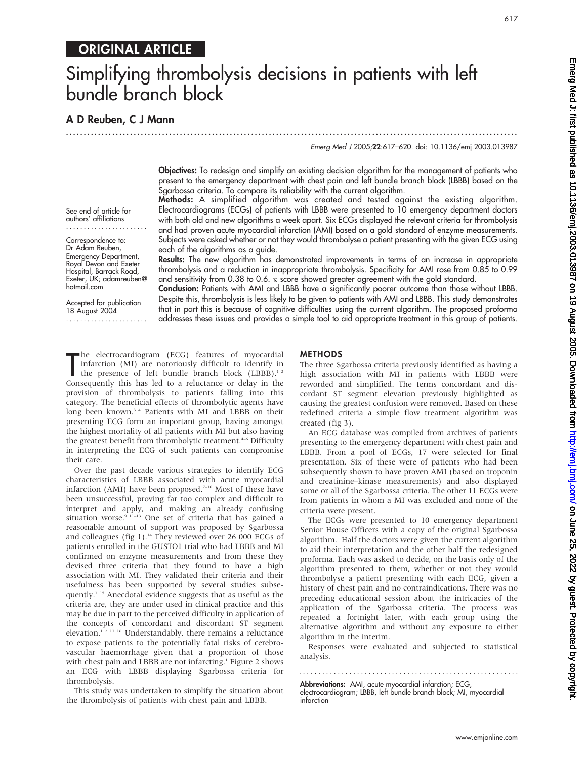# ORIGINAL ARTICLE

# Simplifying thrombolysis decisions in patients with left bundle branch block

A D Reuben, C J Mann

...............................................................................................................................

Emerg Med J 2005;22:617–620. doi: 10.1136/emj.2003.013987

Objectives: To redesign and simplify an existing decision algorithm for the management of patients who present to the emergency department with chest pain and left bundle branch block (LBBB) based on the Saarbossa criteria. To compare its reliability with the current algorithm.

Methods: A simplified algorithm was created and tested against the existing algorithm. Electrocardiograms (ECGs) of patients with LBBB were presented to 10 emergency department doctors with both old and new algorithms a week apart. Six ECGs displayed the relevant criteria for thrombolysis and had proven acute myocardial infarction (AMI) based on a gold standard of enzyme measurements. Subjects were asked whether or not they would thrombolyse a patient presenting with the given ECG using each of the algorithms as a guide.

Results: The new algorithm has demonstrated improvements in terms of an increase in appropriate thrombolysis and a reduction in inappropriate thrombolysis. Specificity for AMI rose from 0.85 to 0.99 and sensitivity from 0.38 to 0.6. k score showed greater agreement with the gold standard.

Conclusion: Patients with AMI and LBBB have a significantly poorer outcome than those without LBBB. Despite this, thrombolysis is less likely to be given to patients with AMI and LBBB. This study demonstrates that in part this is because of cognitive difficulties using the current algorithm. The proposed proforma addresses these issues and provides a simple tool to aid appropriate treatment in this group of patients.

The electrocardiogram (EGG) reatures of myocardial<br>
infarction (MI) are notoriously difficult to identify in<br>
the presence of left bundle branch block (LBBB).<sup>1 2</sup> he electrocardiogram (ECG) features of myocardial infarction (MI) are notoriously difficult to identify in Consequently this has led to a reluctance or delay in the provision of thrombolysis to patients falling into this category. The beneficial effects of thrombolytic agents have long been known.3 4 Patients with MI and LBBB on their presenting ECG form an important group, having amongst the highest mortality of all patients with MI but also having the greatest benefit from thrombolytic treatment.<sup>4-6</sup> Difficulty in interpreting the ECG of such patients can compromise their care.

Over the past decade various strategies to identify ECG characteristics of LBBB associated with acute myocardial infarction (AMI) have been proposed.<sup>7-10</sup> Most of these have been unsuccessful, proving far too complex and difficult to interpret and apply, and making an already confusing situation worse.<sup>9 11–13</sup> One set of criteria that has gained a reasonable amount of support was proposed by Sgarbossa and colleagues (fig 1).<sup>14</sup> They reviewed over 26 000 ECGs of patients enrolled in the GUSTO1 trial who had LBBB and MI confirmed on enzyme measurements and from these they devised three criteria that they found to have a high association with MI. They validated their criteria and their usefulness has been supported by several studies subsequently.<sup>1 15</sup> Anecdotal evidence suggests that as useful as the criteria are, they are under used in clinical practice and this may be due in part to the perceived difficulty in application of the concepts of concordant and discordant ST segment elevation.<sup>12 11 16</sup> Understandably, there remains a reluctance to expose patients to the potentially fatal risks of cerebrovascular haemorrhage given that a proportion of those with chest pain and LBBB are not infarcting.<sup>1</sup> Figure 2 shows an ECG with LBBB displaying Sgarbossa criteria for thrombolysis.

This study was undertaken to simplify the situation about the thrombolysis of patients with chest pain and LBBB.

# METHODS

The three Sgarbossa criteria previously identified as having a high association with MI in patients with LBBB were reworded and simplified. The terms concordant and discordant ST segment elevation previously highlighted as causing the greatest confusion were removed. Based on these redefined criteria a simple flow treatment algorithm was created (fig 3).

An ECG database was compiled from archives of patients presenting to the emergency department with chest pain and LBBB. From a pool of ECGs, 17 were selected for final presentation. Six of these were of patients who had been subsequently shown to have proven AMI (based on troponin and creatinine–kinase measurements) and also displayed some or all of the Sgarbossa criteria. The other 11 ECGs were from patients in whom a MI was excluded and none of the criteria were present.

The ECGs were presented to 10 emergency department Senior House Officers with a copy of the original Sgarbossa algorithm. Half the doctors were given the current algorithm to aid their interpretation and the other half the redesigned proforma. Each was asked to decide, on the basis only of the algorithm presented to them, whether or not they would thrombolyse a patient presenting with each ECG, given a history of chest pain and no contraindications. There was no preceding educational session about the intricacies of the application of the Sgarbossa criteria. The process was repeated a fortnight later, with each group using the alternative algorithm and without any exposure to either algorithm in the interim.

Responses were evaluated and subjected to statistical analysis.

Abbreviations: AMI, acute myocardial infarction; ECG, electrocardiogram; LBBB, left bundle branch block; MI, myocardial infarction

See end of article for authors' affiliations .......................

Correspondence to: Dr Adam Reuben, Emergency Department, Royal Devon and Exeter Hospital, Barrack Road, Exeter, UK; adamreuben@ hotmail.com

Accepted for publication 18 August 2004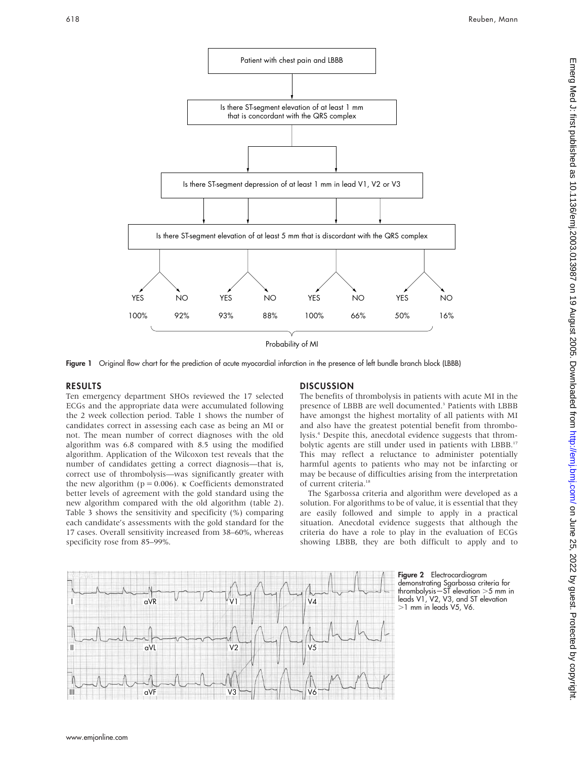

Figure 1 Original flow chart for the prediction of acute myocardial infarction in the presence of left bundle branch block (LBBB)

# RESULTS

Ten emergency department SHOs reviewed the 17 selected ECGs and the appropriate data were accumulated following the 2 week collection period. Table 1 shows the number of candidates correct in assessing each case as being an MI or not. The mean number of correct diagnoses with the old algorithm was 6.8 compared with 8.5 using the modified algorithm. Application of the Wilcoxon test reveals that the number of candidates getting a correct diagnosis—that is, correct use of thrombolysis—was significantly greater with the new algorithm ( $p = 0.006$ ).  $\kappa$  Coefficients demonstrated better levels of agreement with the gold standard using the new algorithm compared with the old algorithm (table 2). Table 3 shows the sensitivity and specificity (%) comparing each candidate's assessments with the gold standard for the 17 cases. Overall sensitivity increased from 38–60%, whereas specificity rose from 85–99%.

# **DISCUSSION**

The benefits of thrombolysis in patients with acute MI in the presence of LBBB are well documented.3 Patients with LBBB have amongst the highest mortality of all patients with MI and also have the greatest potential benefit from thrombolysis.4 Despite this, anecdotal evidence suggests that thrombolytic agents are still under used in patients with LBBB.<sup>17</sup> This may reflect a reluctance to administer potentially harmful agents to patients who may not be infarcting or may be because of difficulties arising from the interpretation of current criteria.<sup>18</sup>

The Sgarbossa criteria and algorithm were developed as a solution. For algorithms to be of value, it is essential that they are easily followed and simple to apply in a practical situation. Anecdotal evidence suggests that although the criteria do have a role to play in the evaluation of ECGs showing LBBB, they are both difficult to apply and to



Figure 2 Electrocardiogram demonstrating Sgarbossa criteria for thrombolysis—ST elevation >5 mm in leads V1, V2, V3, and ST elevation  $>1$  mm in leads V5, V6.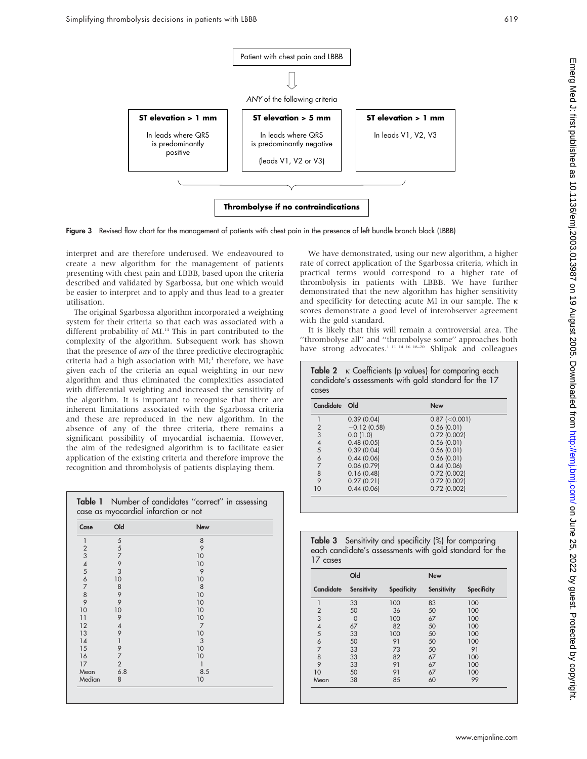

Figure 3 Revised flow chart for the management of patients with chest pain in the presence of left bundle branch block (LBBB)

interpret and are therefore underused. We endeavoured to create a new algorithm for the management of patients presenting with chest pain and LBBB, based upon the criteria described and validated by Sgarbossa, but one which would be easier to interpret and to apply and thus lead to a greater utilisation.

The original Sgarbossa algorithm incorporated a weighting system for their criteria so that each was associated with a different probability of MI.<sup>14</sup> This in part contributed to the complexity of the algorithm. Subsequent work has shown that the presence of any of the three predictive electrographic criteria had a high association with  $MI<sub>i</sub><sup>1</sup>$  therefore, we have given each of the criteria an equal weighting in our new algorithm and thus eliminated the complexities associated with differential weighting and increased the sensitivity of the algorithm. It is important to recognise that there are inherent limitations associated with the Sgarbossa criteria and these are reproduced in the new algorithm. In the absence of any of the three criteria, there remains a significant possibility of myocardial ischaemia. However, the aim of the redesigned algorithm is to facilitate easier application of the existing criteria and therefore improve the recognition and thrombolysis of patients displaying them.

| Case           | Old            | <b>New</b>     |  |
|----------------|----------------|----------------|--|
|                | 5              | 8              |  |
| $\overline{2}$ | 5              | 9              |  |
| 3              | $\overline{7}$ | 10             |  |
|                | 9              | 10             |  |
| $\frac{4}{5}$  | 3              | 9              |  |
|                | 10             | 10             |  |
| $\frac{6}{7}$  | 8              | 8              |  |
| $\frac{8}{9}$  | 9              | 10             |  |
|                | 9              | 10             |  |
| 10             | 10             | 10             |  |
| 11             | 9              | 10             |  |
| 12             | 4              | $\overline{7}$ |  |
| 13             | 9              | 10             |  |
| 14             |                | 3              |  |
| 15             | 9              | 10             |  |
| 16             |                | 10             |  |
| 17             | $\overline{2}$ |                |  |
| Mean           | 6.8            | 8.5            |  |
| Median         | 8              | 10             |  |

We have demonstrated, using our new algorithm, a higher rate of correct application of the Sgarbossa criteria, which in practical terms would correspond to a higher rate of thrombolysis in patients with LBBB. We have further demonstrated that the new algorithm has higher sensitivity and specificity for detecting acute MI in our sample. The  $\kappa$ scores demonstrate a good level of interobserver agreement with the gold standard.

It is likely that this will remain a controversial area. The ''thrombolyse all'' and ''thrombolyse some'' approaches both have strong advocates.<sup>1 11 14 16 18-20</sup> Shlipak and colleagues

**Table 2**  $\kappa$  Coefficients (p values) for comparing each candidate's assessments with gold standard for the 17 cases

| Candidate Old |                | <b>New</b>               |  |
|---------------|----------------|--------------------------|--|
|               | 0.39(0.04)     | $0.87$ (< $0.001$ )      |  |
| 2             | $-0.12$ (0.58) | 0.56(0.01)               |  |
| 3             | 0.0(1.0)       | $0.72$ (0.002)           |  |
| 4             | 0.48(0.05)     | 0.56(0.01)<br>0.56(0.01) |  |
| 5             | 0.39(0.04)     |                          |  |
| 6             | 0.44(0.06)     | 0.56(0.01)               |  |
| 7             | 0.06(0.79)     | 0.44(0.06)               |  |
| 8             | 0.16(0.48)     | 0.72(0.002)              |  |
| 9             | 0.27(0.21)     | 0.72 (0.002)             |  |
| 10            | 0.44(0.06)     | $0.72$ (0.002)           |  |

|          | <b>Table 3</b> Sensitivity and specificity (%) for comparing |
|----------|--------------------------------------------------------------|
|          | each candidate's assessments with gold standard for the      |
| 17 cases |                                                              |

|                | Old                |                    | <b>New</b>         |                    |
|----------------|--------------------|--------------------|--------------------|--------------------|
| Candidate      | <b>Sensitivity</b> | <b>Specificity</b> | <b>Sensitivity</b> | <b>Specificity</b> |
|                | 33                 | 100                | 83                 | 100                |
| $\overline{2}$ | 50                 | 36                 | 50                 | 100                |
| 3              | $\Omega$           | 100                | 67                 | 100                |
| 4              | 67                 | 82                 | 50                 | 100                |
| 5              | 33                 | 100                | 50                 | 100                |
| 6              | 50                 | 91                 | 50                 | 100                |
| $\overline{7}$ | 33                 | 73                 | 50                 | 91                 |
| 8              | 33                 | 82                 | 67                 | 100                |
| 9              | 33                 | 91                 | 67                 | 100                |
| 10             | 50                 | 91                 | 67                 | 100                |
| Mean           | 38                 | 85                 | 60                 | 99                 |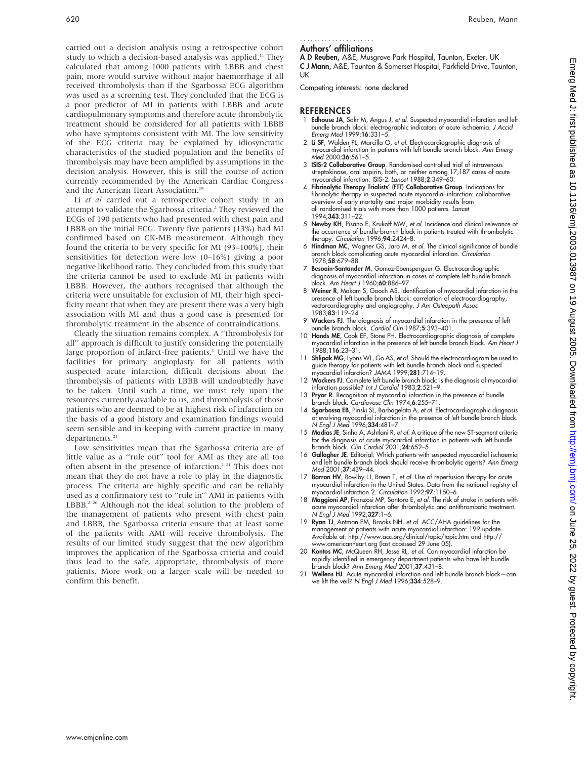carried out a decision analysis using a retrospective cohort study to which a decision-based analysis was applied.<sup>11</sup> They calculated that among 1000 patients with LBBB and chest pain, more would survive without major haemorrhage if all received thrombolysis than if the Sgarbossa ECG algorithm was used as a screening test. They concluded that the ECG is a poor predictor of MI in patients with LBBB and acute cardiopulmonary symptoms and therefore acute thrombolytic treatment should be considered for all patients with LBBB who have symptoms consistent with MI. The low sensitivity of the ECG criteria may be explained by idiosyncratic characteristics of the studied population and the benefits of thrombolysis may have been amplified by assumptions in the decision analysis. However, this is still the course of action currently recommended by the American Cardiac Congress and the American Heart Association.<sup>19</sup>

Li et al carried out a retrospective cohort study in an attempt to validate the Sgarbossa criteria.<sup>2</sup> They reviewed the ECGs of 190 patients who had presented with chest pain and LBBB on the initial ECG. Twenty five patients (13%) had MI confirmed based on CK-MB measurement. Although they found the criteria to be very specific for MI (93–100%), their sensitivities for detection were low (0–16%) giving a poor negative likelihood ratio. They concluded from this study that the criteria cannot be used to exclude MI in patients with LBBB. However, the authors recognised that although the criteria were unsuitable for exclusion of MI, their high specificity meant that when they are present there was a very high association with MI and thus a good case is presented for thrombolytic treatment in the absence of contraindications.

Clearly the situation remains complex. A ''thrombolysis for all'' approach is difficult to justify considering the potentially large proportion of infarct-free patients.<sup>1</sup> Until we have the facilities for primary angioplasty for all patients with suspected acute infarction, difficult decisions about the thrombolysis of patients with LBBB will undoubtedly have to be taken. Until such a time, we must rely upon the resources currently available to us, and thrombolysis of those patients who are deemed to be at highest risk of infarction on the basis of a good history and examination findings would seem sensible and in keeping with current practice in many departments.<sup>21</sup>

Low sensitivities mean that the Sgarbossa criteria are of little value as a ''rule out'' tool for AMI as they are all too often absent in the presence of infarction.<sup>2 21</sup> This does not mean that they do not have a role to play in the diagnostic process. The criteria are highly specific and can be reliably used as a confirmatory test to "rule in" AMI in patients with LBBB.<sup>2 20</sup> Although not the ideal solution to the problem of the management of patients who present with chest pain and LBBB, the Sgarbossa criteria ensure that at least some of the patients with AMI will receive thrombolysis. The results of our limited study suggest that the new algorithm improves the application of the Sgarbossa criteria and could thus lead to the safe, appropriate, thrombolysis of more patients. More work on a larger scale will be needed to confirm this benefit.

#### Authors' affiliations .....................

A D Reuben, A&E, Musgrove Park Hospital, Taunton, Exeter, UK C J Mann, A&E, Taunton & Somerset Hospital, Parkfield Drive, Taunton,

UK

Competing interests: none declared

### **REFERENCES**

- 1 Edhouse JA, Sakr M, Angus J, et al. Suspected myocardial infarction and left bundle branch block: electrographic indicators of acute ischaemia. J Accid Emerg Med 1999;16:331–5.
- 2 Li SF, Walden PL, Marcilla O, et al. Electrocardiographic diagnosis of myocardial infarction in patients with left bundle branch block. Ann Emerg Med 2000;36:561-5.
- 3 ISIS-2 Collaborative Group. Randomised controlled trial of intravenous streptokinase, oral aspirin, both, or neither among 17,187 cases of acute myocardial infarction: ISIS-2. Lancet 1988;2:349–60.
- 4 Fibrinolytic Therapy Trialists' (FTT) Collaborative Group. Indications for fibrinolytic therapy in suspected acute myocardial infarction: collaborative overview of early mortality and major morbidity results from all randomised trials with more than 1000 patients. Lancet 1994;343:311–22.
- 5 Newby KH, Pisano E, Krukoff MW, et al. Incidence and clinical relevance of the occurrence of bundle-branch block in patients treated with thrombolytic therapy. Circulation 1996;94:2424-8.
- 6 Hindman MC, Wagner GS, Jaro M, et al. The clinical significance of bundle branch block complicating acute myocardial infarction. Circulation 1978;58:679–88.
- 7 Besoain-Santander M, Gomez-Ebensperguer G. Electrocardiographic diagnosis of myocardial infarction in cases of complete left bundle branch block. Am Heart J 1960;60:886-97.
- 8 Weiner R, Makam S, Gooch AS. Identification of myocardial infarction in the presence of left bundle branch block: correlation of electrocardiography, vectorcardiography and angiography. *J Am Osteopath Assoc*<br>1983;**83**:119–24.
- 9 Wackers FJ. The diagnosis of myocardial infarction in the presence of left bundle branch block. Cardiol Clin 1987;5:393–401.
- 10 Hands ME, Cook EF, Stone PH. Electrocardiographic diagnosis of complete myocardial infarction in the presence of left bundle branch block. Am Heart J 1988;116:23–31.
- 11 Shlipak MG, Lyons WL, Go AS, et al. Should the electrocardiogram be used to guide therapy for patients with left bundle branch block and suspected myocardial infarction? JAMA 1999;281:714–19.
- 12 Wackers FJ. Complete left bundle branch block: is the diagnosis of myocardial infarction possible? Int J Cardiol 1983;2:521–9.
- 13 Pryor R. Recognition of myocardial infarction in the presence of bundle branch block. Cardiovasc Clin 1974;6:255–71.
- 14 Sgarbossa EB, Pinski SL, Barbagelata A, et al. Electrocardiographic diagnosis of evolving myocardial infarction in the presence of left bundle branch block. N Engl J Med 1996;334:481–7.
- 15 Madias JE, Sinha A, Ashtlani R, et al. A critique of the new ST-segment criteria for the diagnosis of acute myocardial infarction in patients with left bundle branch block. Clin Cardiol 2001;24:652–5.
- 16 Gallagher JE. Editorial: Which patients with suspected myocardial ischaemia and left bundle branch block should receive thrombolytic agents? Ann Emerg Med 2001;37:439–44.
- 17 Barron HV, Bowlby LJ, Breen T, et al. Use of reperfusion therapy for acute myocardial infarction in the United States. Data from the national registry of myocardial infarction 2. Circulation 1992;97:1150–6.
- 18 Maggioni AP, Franzosi MP, Santoro E, et al. The risk of stroke in patients with acute myocardial infarction after thrombolytic and antithrombotic treatment. N Engl J Med 1992;327:1–6.
- 19 Ryan TJ, Antman EM, Brooks NH, et al. ACC/AHA guidelines for the management of patients with acute myocardial infarction: 199 update. Available at: http://www.acc.org/clinical/topic/topic.htm and http:// www.americanheart.org (last accessed 29 June 05).
- 20 Kontos MC, McQueen RH, Jesse RL, et al. Can myocardial infarction be rapidly identified in emergency department patients who have left bundle branch block? Ann Emerg Med 2001;37:431–8.
- 21 Wellens HJ. Acute myocardial infarction and left bundle branch block—can we lift the veil? N Engl J Med 1996;334:528-9.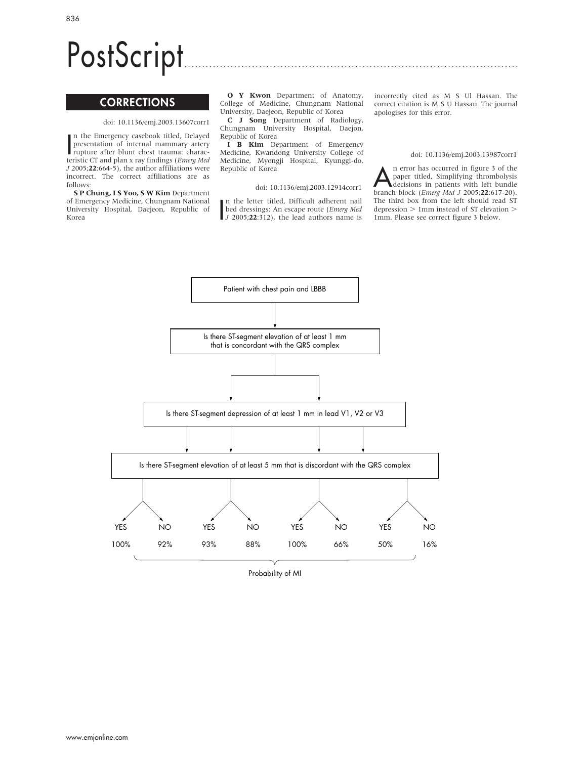# PostScript ..............................................................................................

# **CORRECTIONS**

# doi: 10.1136/emj.2003.13607corr1

n the Emergency casebook titled, Delayed<br>presentation of internal mammary artery<br>rupture after blunt chest trauma: charac-<br>traitie CT and plan x ray findings (Emra) n the Emergency casebook titled, Delayed presentation of internal mammary artery teristic CT and plan x ray findings (Emerg Med J 2005;22:664-5), the author affiliations were incorrect. The correct affiliations are as follows:

S P Chung, I S Yoo, S W Kim Department of Emergency Medicine, Chungnam National University Hospital, Daejeon, Republic of Korea

O Y Kwon Department of Anatomy, College of Medicine, Chungnam National University, Daejeon, Republic of Korea

C J Song Department of Radiology, Chungnam University Hospital, Daejon, Republic of Korea

I B Kim Department of Emergency Medicine, Kwandong University College of Medicine, Myongji Hospital, Kyunggi-do, Republic of Korea

### doi: 10.1136/emj.2003.12914corr1

In the letter titled, Difficult adherent nail<br>local dressings: An escape route (*Emerg Med*<br>*J* 2005;**22**:312), the lead authors name is n the letter titled, Difficult adherent nail bed dressings: An escape route (Emerg Med

incorrectly cited as M S Ul Hassan. The correct citation is M S U Hassan. The journal apologises for this error.

### doi: 10.1136/emj.2003.13987corr1

**A** n error has occurred in figure 3 of the paper titled, Simplifying thrombolysis<br>brench block (*Ewers Med 1,2005:32:617.20*) paper titled, Simplifying thrombolysis branch block (Emerg Med J 2005;22:617-20). The third box from the left should read ST depression  $>1$ mm instead of ST elevation  $>$ 1mm. Please see correct figure 3 below.



Probability of MI